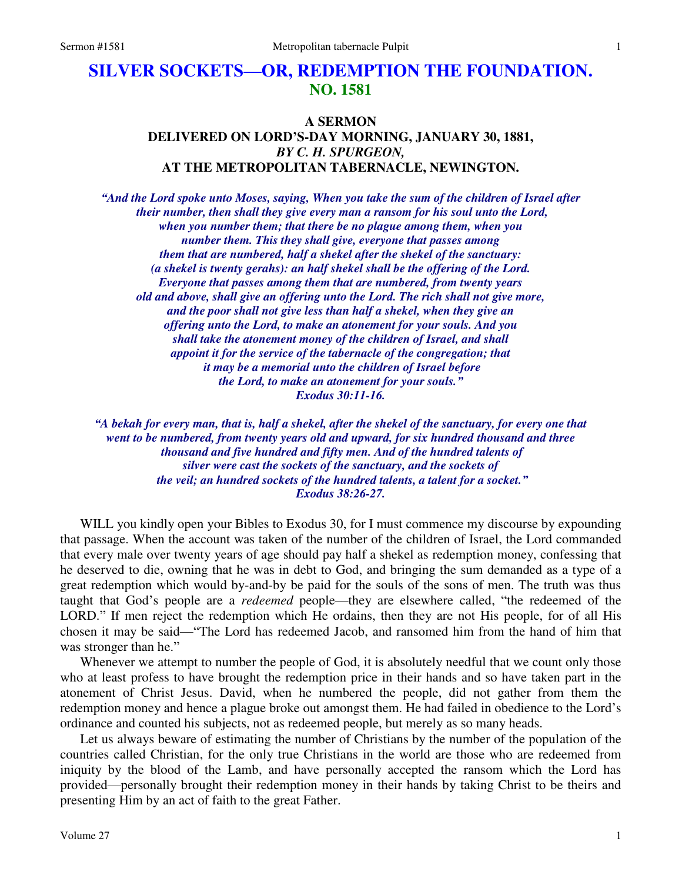## **SILVER SOCKETS—OR, REDEMPTION THE FOUNDATION. NO. 1581**

## **A SERMON DELIVERED ON LORD'S-DAY MORNING, JANUARY 30, 1881,**  *BY C. H. SPURGEON,*  **AT THE METROPOLITAN TABERNACLE, NEWINGTON.**

*"And the Lord spoke unto Moses, saying, When you take the sum of the children of Israel after their number, then shall they give every man a ransom for his soul unto the Lord, when you number them; that there be no plague among them, when you number them. This they shall give, everyone that passes among them that are numbered, half a shekel after the shekel of the sanctuary: (a shekel is twenty gerahs): an half shekel shall be the offering of the Lord. Everyone that passes among them that are numbered, from twenty years old and above, shall give an offering unto the Lord. The rich shall not give more, and the poor shall not give less than half a shekel, when they give an offering unto the Lord, to make an atonement for your souls. And you shall take the atonement money of the children of Israel, and shall appoint it for the service of the tabernacle of the congregation; that it may be a memorial unto the children of Israel before the Lord, to make an atonement for your souls." Exodus 30:11-16.* 

*"A bekah for every man, that is, half a shekel, after the shekel of the sanctuary, for every one that went to be numbered, from twenty years old and upward, for six hundred thousand and three thousand and five hundred and fifty men. And of the hundred talents of silver were cast the sockets of the sanctuary, and the sockets of the veil; an hundred sockets of the hundred talents, a talent for a socket." Exodus 38:26-27.* 

WILL you kindly open your Bibles to Exodus 30, for I must commence my discourse by expounding that passage. When the account was taken of the number of the children of Israel, the Lord commanded that every male over twenty years of age should pay half a shekel as redemption money, confessing that he deserved to die, owning that he was in debt to God, and bringing the sum demanded as a type of a great redemption which would by-and-by be paid for the souls of the sons of men. The truth was thus taught that God's people are a *redeemed* people—they are elsewhere called, "the redeemed of the LORD." If men reject the redemption which He ordains, then they are not His people, for of all His chosen it may be said—"The Lord has redeemed Jacob, and ransomed him from the hand of him that was stronger than he."

Whenever we attempt to number the people of God, it is absolutely needful that we count only those who at least profess to have brought the redemption price in their hands and so have taken part in the atonement of Christ Jesus. David, when he numbered the people, did not gather from them the redemption money and hence a plague broke out amongst them. He had failed in obedience to the Lord's ordinance and counted his subjects, not as redeemed people, but merely as so many heads.

 Let us always beware of estimating the number of Christians by the number of the population of the countries called Christian, for the only true Christians in the world are those who are redeemed from iniquity by the blood of the Lamb, and have personally accepted the ransom which the Lord has provided—personally brought their redemption money in their hands by taking Christ to be theirs and presenting Him by an act of faith to the great Father.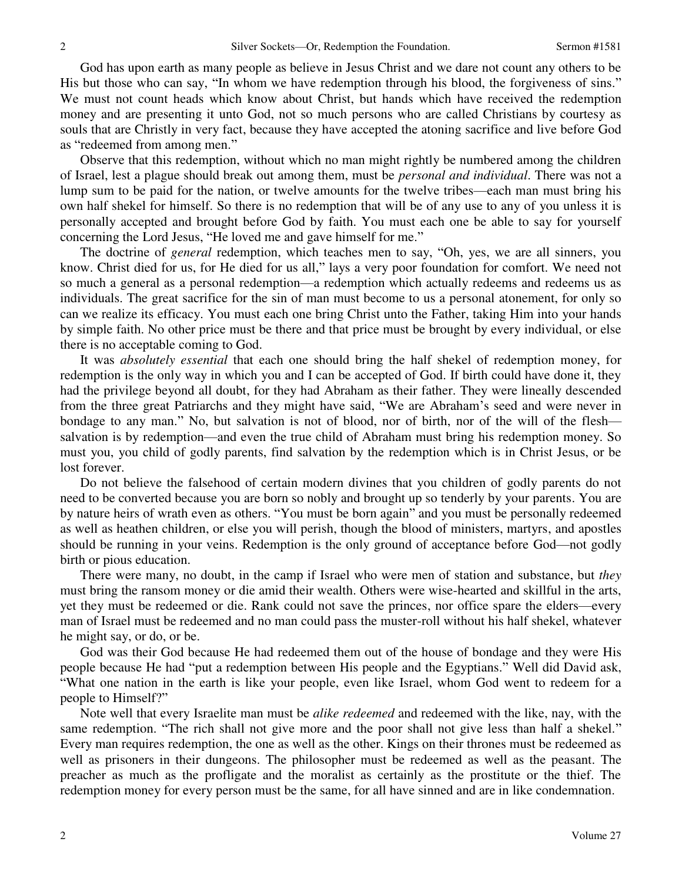God has upon earth as many people as believe in Jesus Christ and we dare not count any others to be His but those who can say, "In whom we have redemption through his blood, the forgiveness of sins." We must not count heads which know about Christ, but hands which have received the redemption money and are presenting it unto God, not so much persons who are called Christians by courtesy as souls that are Christly in very fact, because they have accepted the atoning sacrifice and live before God as "redeemed from among men."

 Observe that this redemption, without which no man might rightly be numbered among the children of Israel, lest a plague should break out among them, must be *personal and individual*. There was not a lump sum to be paid for the nation, or twelve amounts for the twelve tribes—each man must bring his own half shekel for himself. So there is no redemption that will be of any use to any of you unless it is personally accepted and brought before God by faith. You must each one be able to say for yourself concerning the Lord Jesus, "He loved me and gave himself for me."

 The doctrine of *general* redemption, which teaches men to say, "Oh, yes, we are all sinners, you know. Christ died for us, for He died for us all," lays a very poor foundation for comfort. We need not so much a general as a personal redemption—a redemption which actually redeems and redeems us as individuals. The great sacrifice for the sin of man must become to us a personal atonement, for only so can we realize its efficacy. You must each one bring Christ unto the Father, taking Him into your hands by simple faith. No other price must be there and that price must be brought by every individual, or else there is no acceptable coming to God.

 It was *absolutely essential* that each one should bring the half shekel of redemption money, for redemption is the only way in which you and I can be accepted of God. If birth could have done it, they had the privilege beyond all doubt, for they had Abraham as their father. They were lineally descended from the three great Patriarchs and they might have said, "We are Abraham's seed and were never in bondage to any man." No, but salvation is not of blood, nor of birth, nor of the will of the flesh salvation is by redemption—and even the true child of Abraham must bring his redemption money. So must you, you child of godly parents, find salvation by the redemption which is in Christ Jesus, or be lost forever.

 Do not believe the falsehood of certain modern divines that you children of godly parents do not need to be converted because you are born so nobly and brought up so tenderly by your parents. You are by nature heirs of wrath even as others. "You must be born again" and you must be personally redeemed as well as heathen children, or else you will perish, though the blood of ministers, martyrs, and apostles should be running in your veins. Redemption is the only ground of acceptance before God—not godly birth or pious education.

 There were many, no doubt, in the camp if Israel who were men of station and substance, but *they* must bring the ransom money or die amid their wealth. Others were wise-hearted and skillful in the arts, yet they must be redeemed or die. Rank could not save the princes, nor office spare the elders—every man of Israel must be redeemed and no man could pass the muster-roll without his half shekel, whatever he might say, or do, or be.

 God was their God because He had redeemed them out of the house of bondage and they were His people because He had "put a redemption between His people and the Egyptians." Well did David ask, "What one nation in the earth is like your people, even like Israel, whom God went to redeem for a people to Himself?"

 Note well that every Israelite man must be *alike redeemed* and redeemed with the like, nay, with the same redemption. "The rich shall not give more and the poor shall not give less than half a shekel." Every man requires redemption, the one as well as the other. Kings on their thrones must be redeemed as well as prisoners in their dungeons. The philosopher must be redeemed as well as the peasant. The preacher as much as the profligate and the moralist as certainly as the prostitute or the thief. The redemption money for every person must be the same, for all have sinned and are in like condemnation.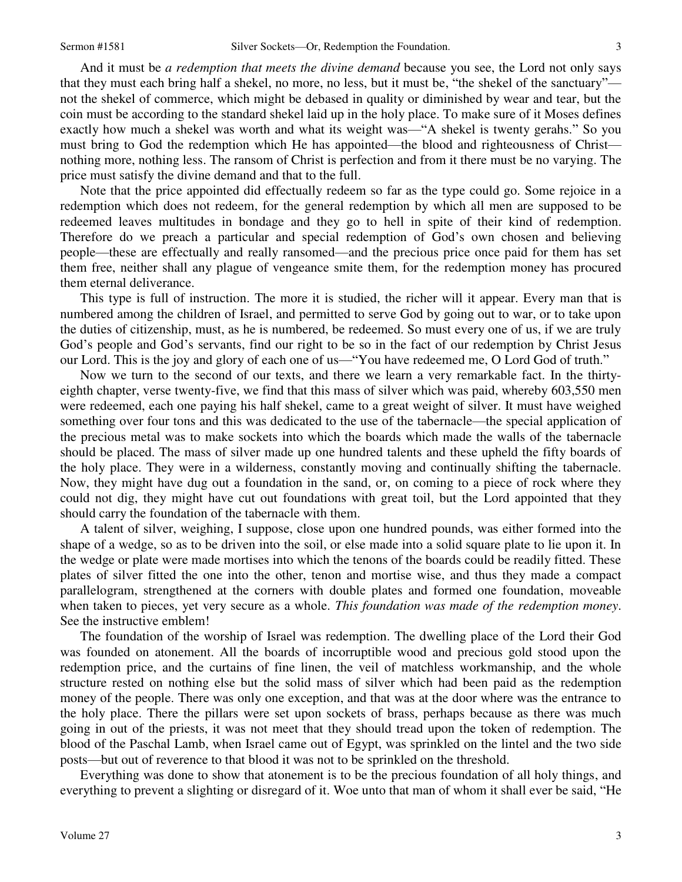And it must be *a redemption that meets the divine demand* because you see, the Lord not only says that they must each bring half a shekel, no more, no less, but it must be, "the shekel of the sanctuary" not the shekel of commerce, which might be debased in quality or diminished by wear and tear, but the coin must be according to the standard shekel laid up in the holy place. To make sure of it Moses defines exactly how much a shekel was worth and what its weight was—"A shekel is twenty gerahs." So you must bring to God the redemption which He has appointed—the blood and righteousness of Christ nothing more, nothing less. The ransom of Christ is perfection and from it there must be no varying. The price must satisfy the divine demand and that to the full.

 Note that the price appointed did effectually redeem so far as the type could go. Some rejoice in a redemption which does not redeem, for the general redemption by which all men are supposed to be redeemed leaves multitudes in bondage and they go to hell in spite of their kind of redemption. Therefore do we preach a particular and special redemption of God's own chosen and believing people—these are effectually and really ransomed—and the precious price once paid for them has set them free, neither shall any plague of vengeance smite them, for the redemption money has procured them eternal deliverance.

 This type is full of instruction. The more it is studied, the richer will it appear. Every man that is numbered among the children of Israel, and permitted to serve God by going out to war, or to take upon the duties of citizenship, must, as he is numbered, be redeemed. So must every one of us, if we are truly God's people and God's servants, find our right to be so in the fact of our redemption by Christ Jesus our Lord. This is the joy and glory of each one of us—"You have redeemed me, O Lord God of truth."

 Now we turn to the second of our texts, and there we learn a very remarkable fact. In the thirtyeighth chapter, verse twenty-five, we find that this mass of silver which was paid, whereby 603,550 men were redeemed, each one paying his half shekel, came to a great weight of silver. It must have weighed something over four tons and this was dedicated to the use of the tabernacle—the special application of the precious metal was to make sockets into which the boards which made the walls of the tabernacle should be placed. The mass of silver made up one hundred talents and these upheld the fifty boards of the holy place. They were in a wilderness, constantly moving and continually shifting the tabernacle. Now, they might have dug out a foundation in the sand, or, on coming to a piece of rock where they could not dig, they might have cut out foundations with great toil, but the Lord appointed that they should carry the foundation of the tabernacle with them.

 A talent of silver, weighing, I suppose, close upon one hundred pounds, was either formed into the shape of a wedge, so as to be driven into the soil, or else made into a solid square plate to lie upon it. In the wedge or plate were made mortises into which the tenons of the boards could be readily fitted. These plates of silver fitted the one into the other, tenon and mortise wise, and thus they made a compact parallelogram, strengthened at the corners with double plates and formed one foundation, moveable when taken to pieces, yet very secure as a whole. *This foundation was made of the redemption money*. See the instructive emblem!

 The foundation of the worship of Israel was redemption. The dwelling place of the Lord their God was founded on atonement. All the boards of incorruptible wood and precious gold stood upon the redemption price, and the curtains of fine linen, the veil of matchless workmanship, and the whole structure rested on nothing else but the solid mass of silver which had been paid as the redemption money of the people. There was only one exception, and that was at the door where was the entrance to the holy place. There the pillars were set upon sockets of brass, perhaps because as there was much going in out of the priests, it was not meet that they should tread upon the token of redemption. The blood of the Paschal Lamb, when Israel came out of Egypt, was sprinkled on the lintel and the two side posts—but out of reverence to that blood it was not to be sprinkled on the threshold.

 Everything was done to show that atonement is to be the precious foundation of all holy things, and everything to prevent a slighting or disregard of it. Woe unto that man of whom it shall ever be said, "He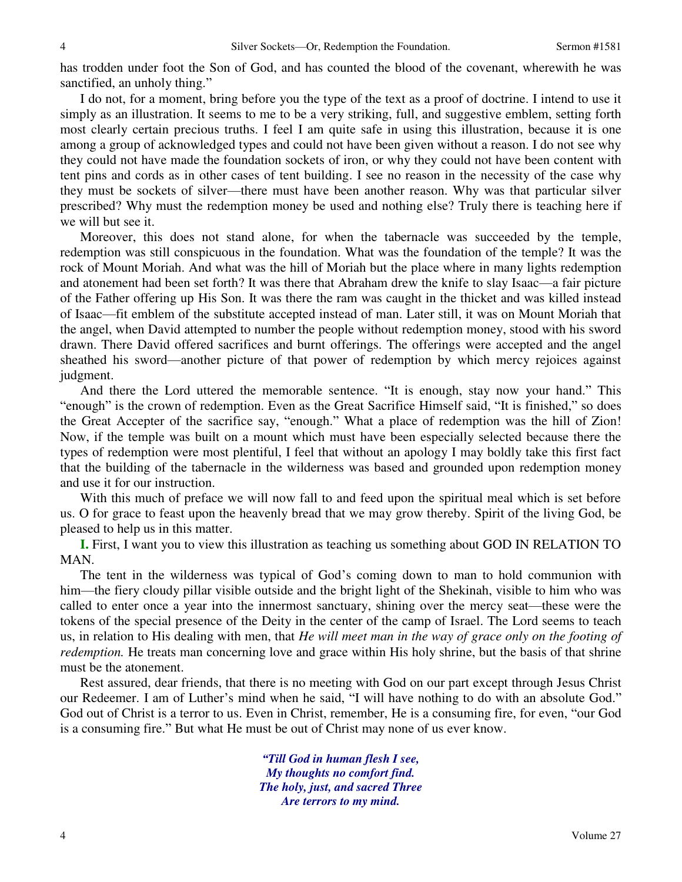has trodden under foot the Son of God, and has counted the blood of the covenant, wherewith he was sanctified, an unholy thing."

 I do not, for a moment, bring before you the type of the text as a proof of doctrine. I intend to use it simply as an illustration. It seems to me to be a very striking, full, and suggestive emblem, setting forth most clearly certain precious truths. I feel I am quite safe in using this illustration, because it is one among a group of acknowledged types and could not have been given without a reason. I do not see why they could not have made the foundation sockets of iron, or why they could not have been content with tent pins and cords as in other cases of tent building. I see no reason in the necessity of the case why they must be sockets of silver—there must have been another reason. Why was that particular silver prescribed? Why must the redemption money be used and nothing else? Truly there is teaching here if we will but see it.

 Moreover, this does not stand alone, for when the tabernacle was succeeded by the temple, redemption was still conspicuous in the foundation. What was the foundation of the temple? It was the rock of Mount Moriah. And what was the hill of Moriah but the place where in many lights redemption and atonement had been set forth? It was there that Abraham drew the knife to slay Isaac—a fair picture of the Father offering up His Son. It was there the ram was caught in the thicket and was killed instead of Isaac—fit emblem of the substitute accepted instead of man. Later still, it was on Mount Moriah that the angel, when David attempted to number the people without redemption money, stood with his sword drawn. There David offered sacrifices and burnt offerings. The offerings were accepted and the angel sheathed his sword—another picture of that power of redemption by which mercy rejoices against judgment.

 And there the Lord uttered the memorable sentence. "It is enough, stay now your hand." This "enough" is the crown of redemption. Even as the Great Sacrifice Himself said, "It is finished," so does the Great Accepter of the sacrifice say, "enough." What a place of redemption was the hill of Zion! Now, if the temple was built on a mount which must have been especially selected because there the types of redemption were most plentiful, I feel that without an apology I may boldly take this first fact that the building of the tabernacle in the wilderness was based and grounded upon redemption money and use it for our instruction.

 With this much of preface we will now fall to and feed upon the spiritual meal which is set before us. O for grace to feast upon the heavenly bread that we may grow thereby. Spirit of the living God, be pleased to help us in this matter.

**I.** First, I want you to view this illustration as teaching us something about GOD IN RELATION TO MAN.

 The tent in the wilderness was typical of God's coming down to man to hold communion with him—the fiery cloudy pillar visible outside and the bright light of the Shekinah, visible to him who was called to enter once a year into the innermost sanctuary, shining over the mercy seat—these were the tokens of the special presence of the Deity in the center of the camp of Israel. The Lord seems to teach us, in relation to His dealing with men, that *He will meet man in the way of grace only on the footing of redemption.* He treats man concerning love and grace within His holy shrine, but the basis of that shrine must be the atonement.

 Rest assured, dear friends, that there is no meeting with God on our part except through Jesus Christ our Redeemer. I am of Luther's mind when he said, "I will have nothing to do with an absolute God." God out of Christ is a terror to us. Even in Christ, remember, He is a consuming fire, for even, "our God is a consuming fire." But what He must be out of Christ may none of us ever know.

> *"Till God in human flesh I see, My thoughts no comfort find. The holy, just, and sacred Three Are terrors to my mind.*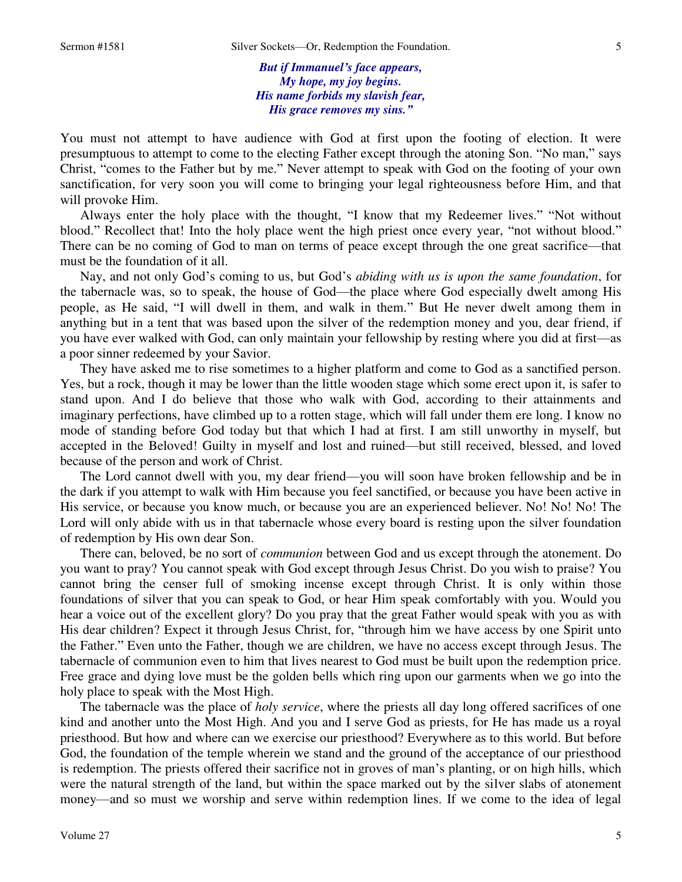*But if Immanuel's face appears, My hope, my joy begins. His name forbids my slavish fear, His grace removes my sins."*

You must not attempt to have audience with God at first upon the footing of election. It were presumptuous to attempt to come to the electing Father except through the atoning Son. "No man," says Christ, "comes to the Father but by me." Never attempt to speak with God on the footing of your own sanctification, for very soon you will come to bringing your legal righteousness before Him, and that will provoke Him.

 Always enter the holy place with the thought, "I know that my Redeemer lives." "Not without blood." Recollect that! Into the holy place went the high priest once every year, "not without blood." There can be no coming of God to man on terms of peace except through the one great sacrifice—that must be the foundation of it all.

 Nay, and not only God's coming to us, but God's *abiding with us is upon the same foundation*, for the tabernacle was, so to speak, the house of God—the place where God especially dwelt among His people, as He said, "I will dwell in them, and walk in them." But He never dwelt among them in anything but in a tent that was based upon the silver of the redemption money and you, dear friend, if you have ever walked with God, can only maintain your fellowship by resting where you did at first—as a poor sinner redeemed by your Savior.

 They have asked me to rise sometimes to a higher platform and come to God as a sanctified person. Yes, but a rock, though it may be lower than the little wooden stage which some erect upon it, is safer to stand upon. And I do believe that those who walk with God, according to their attainments and imaginary perfections, have climbed up to a rotten stage, which will fall under them ere long. I know no mode of standing before God today but that which I had at first. I am still unworthy in myself, but accepted in the Beloved! Guilty in myself and lost and ruined—but still received, blessed, and loved because of the person and work of Christ.

 The Lord cannot dwell with you, my dear friend—you will soon have broken fellowship and be in the dark if you attempt to walk with Him because you feel sanctified, or because you have been active in His service, or because you know much, or because you are an experienced believer. No! No! No! The Lord will only abide with us in that tabernacle whose every board is resting upon the silver foundation of redemption by His own dear Son.

 There can, beloved, be no sort of *communion* between God and us except through the atonement. Do you want to pray? You cannot speak with God except through Jesus Christ. Do you wish to praise? You cannot bring the censer full of smoking incense except through Christ. It is only within those foundations of silver that you can speak to God, or hear Him speak comfortably with you. Would you hear a voice out of the excellent glory? Do you pray that the great Father would speak with you as with His dear children? Expect it through Jesus Christ, for, "through him we have access by one Spirit unto the Father." Even unto the Father, though we are children, we have no access except through Jesus. The tabernacle of communion even to him that lives nearest to God must be built upon the redemption price. Free grace and dying love must be the golden bells which ring upon our garments when we go into the holy place to speak with the Most High.

 The tabernacle was the place of *holy service*, where the priests all day long offered sacrifices of one kind and another unto the Most High. And you and I serve God as priests, for He has made us a royal priesthood. But how and where can we exercise our priesthood? Everywhere as to this world. But before God, the foundation of the temple wherein we stand and the ground of the acceptance of our priesthood is redemption. The priests offered their sacrifice not in groves of man's planting, or on high hills, which were the natural strength of the land, but within the space marked out by the silver slabs of atonement money—and so must we worship and serve within redemption lines. If we come to the idea of legal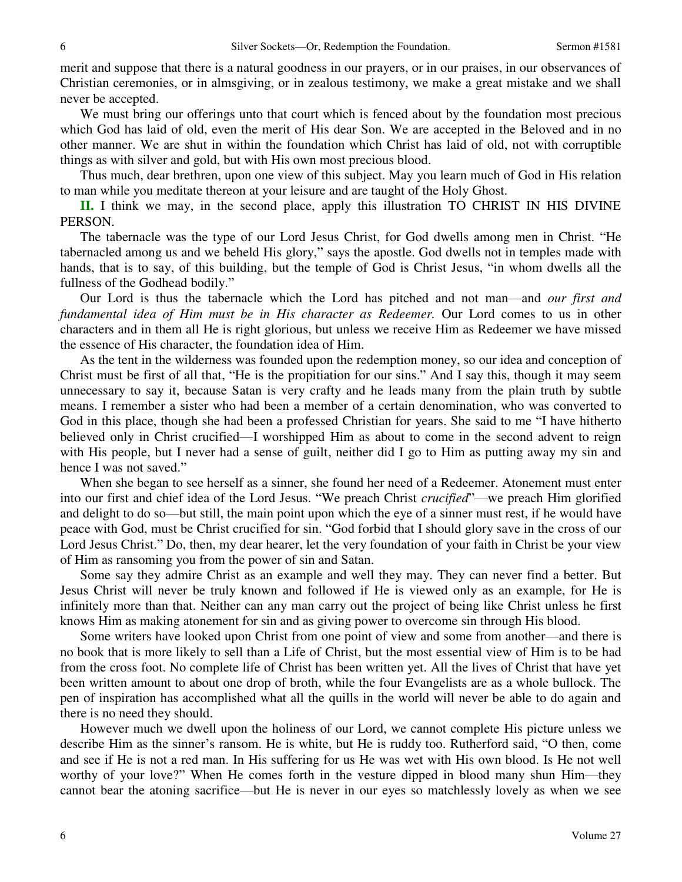merit and suppose that there is a natural goodness in our prayers, or in our praises, in our observances of Christian ceremonies, or in almsgiving, or in zealous testimony, we make a great mistake and we shall never be accepted.

 We must bring our offerings unto that court which is fenced about by the foundation most precious which God has laid of old, even the merit of His dear Son. We are accepted in the Beloved and in no other manner. We are shut in within the foundation which Christ has laid of old, not with corruptible things as with silver and gold, but with His own most precious blood.

 Thus much, dear brethren, upon one view of this subject. May you learn much of God in His relation to man while you meditate thereon at your leisure and are taught of the Holy Ghost.

**II.** I think we may, in the second place, apply this illustration TO CHRIST IN HIS DIVINE PERSON.

 The tabernacle was the type of our Lord Jesus Christ, for God dwells among men in Christ. "He tabernacled among us and we beheld His glory," says the apostle. God dwells not in temples made with hands, that is to say, of this building, but the temple of God is Christ Jesus, "in whom dwells all the fullness of the Godhead bodily."

 Our Lord is thus the tabernacle which the Lord has pitched and not man—and *our first and fundamental idea of Him must be in His character as Redeemer.* Our Lord comes to us in other characters and in them all He is right glorious, but unless we receive Him as Redeemer we have missed the essence of His character, the foundation idea of Him.

 As the tent in the wilderness was founded upon the redemption money, so our idea and conception of Christ must be first of all that, "He is the propitiation for our sins." And I say this, though it may seem unnecessary to say it, because Satan is very crafty and he leads many from the plain truth by subtle means. I remember a sister who had been a member of a certain denomination, who was converted to God in this place, though she had been a professed Christian for years. She said to me "I have hitherto believed only in Christ crucified—I worshipped Him as about to come in the second advent to reign with His people, but I never had a sense of guilt, neither did I go to Him as putting away my sin and hence I was not saved."

 When she began to see herself as a sinner, she found her need of a Redeemer. Atonement must enter into our first and chief idea of the Lord Jesus. "We preach Christ *crucified*"—we preach Him glorified and delight to do so—but still, the main point upon which the eye of a sinner must rest, if he would have peace with God, must be Christ crucified for sin. "God forbid that I should glory save in the cross of our Lord Jesus Christ." Do, then, my dear hearer, let the very foundation of your faith in Christ be your view of Him as ransoming you from the power of sin and Satan.

 Some say they admire Christ as an example and well they may. They can never find a better. But Jesus Christ will never be truly known and followed if He is viewed only as an example, for He is infinitely more than that. Neither can any man carry out the project of being like Christ unless he first knows Him as making atonement for sin and as giving power to overcome sin through His blood.

 Some writers have looked upon Christ from one point of view and some from another—and there is no book that is more likely to sell than a Life of Christ, but the most essential view of Him is to be had from the cross foot. No complete life of Christ has been written yet. All the lives of Christ that have yet been written amount to about one drop of broth, while the four Evangelists are as a whole bullock. The pen of inspiration has accomplished what all the quills in the world will never be able to do again and there is no need they should.

 However much we dwell upon the holiness of our Lord, we cannot complete His picture unless we describe Him as the sinner's ransom. He is white, but He is ruddy too. Rutherford said, "O then, come and see if He is not a red man. In His suffering for us He was wet with His own blood. Is He not well worthy of your love?" When He comes forth in the vesture dipped in blood many shun Him—they cannot bear the atoning sacrifice—but He is never in our eyes so matchlessly lovely as when we see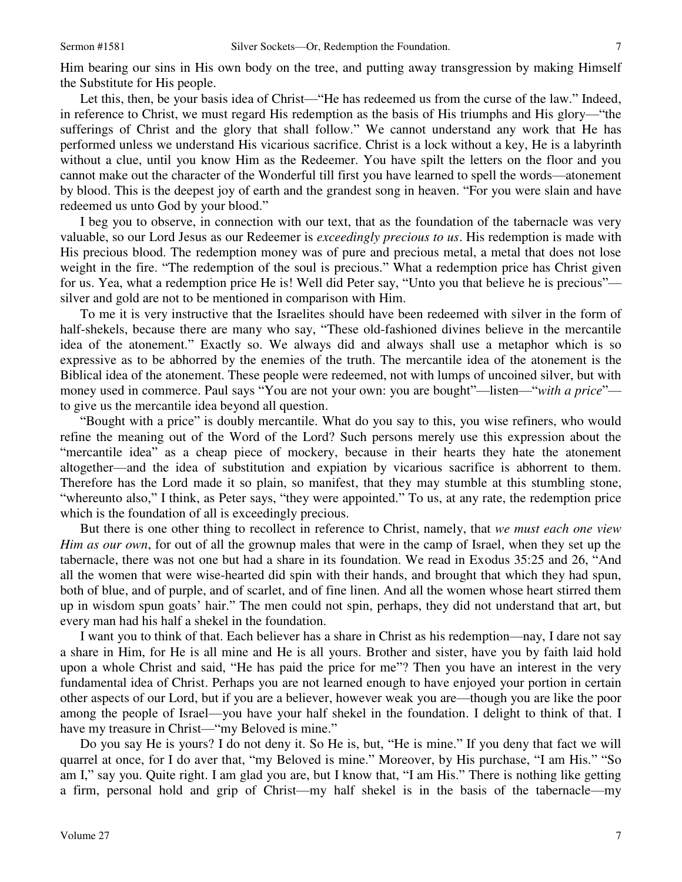Him bearing our sins in His own body on the tree, and putting away transgression by making Himself the Substitute for His people.

Let this, then, be your basis idea of Christ—"He has redeemed us from the curse of the law." Indeed, in reference to Christ, we must regard His redemption as the basis of His triumphs and His glory—"the sufferings of Christ and the glory that shall follow." We cannot understand any work that He has performed unless we understand His vicarious sacrifice. Christ is a lock without a key, He is a labyrinth without a clue, until you know Him as the Redeemer. You have spilt the letters on the floor and you cannot make out the character of the Wonderful till first you have learned to spell the words—atonement by blood. This is the deepest joy of earth and the grandest song in heaven. "For you were slain and have redeemed us unto God by your blood."

 I beg you to observe, in connection with our text, that as the foundation of the tabernacle was very valuable, so our Lord Jesus as our Redeemer is *exceedingly precious to us*. His redemption is made with His precious blood. The redemption money was of pure and precious metal, a metal that does not lose weight in the fire. "The redemption of the soul is precious." What a redemption price has Christ given for us. Yea, what a redemption price He is! Well did Peter say, "Unto you that believe he is precious" silver and gold are not to be mentioned in comparison with Him.

 To me it is very instructive that the Israelites should have been redeemed with silver in the form of half-shekels, because there are many who say, "These old-fashioned divines believe in the mercantile idea of the atonement." Exactly so. We always did and always shall use a metaphor which is so expressive as to be abhorred by the enemies of the truth. The mercantile idea of the atonement is the Biblical idea of the atonement. These people were redeemed, not with lumps of uncoined silver, but with money used in commerce. Paul says "You are not your own: you are bought"—listen—"*with a price*" to give us the mercantile idea beyond all question.

"Bought with a price" is doubly mercantile. What do you say to this, you wise refiners, who would refine the meaning out of the Word of the Lord? Such persons merely use this expression about the "mercantile idea" as a cheap piece of mockery, because in their hearts they hate the atonement altogether—and the idea of substitution and expiation by vicarious sacrifice is abhorrent to them. Therefore has the Lord made it so plain, so manifest, that they may stumble at this stumbling stone, "whereunto also," I think, as Peter says, "they were appointed." To us, at any rate, the redemption price which is the foundation of all is exceedingly precious.

 But there is one other thing to recollect in reference to Christ, namely, that *we must each one view Him as our own*, for out of all the grownup males that were in the camp of Israel, when they set up the tabernacle, there was not one but had a share in its foundation. We read in Exodus 35:25 and 26, "And all the women that were wise-hearted did spin with their hands, and brought that which they had spun, both of blue, and of purple, and of scarlet, and of fine linen. And all the women whose heart stirred them up in wisdom spun goats' hair." The men could not spin, perhaps, they did not understand that art, but every man had his half a shekel in the foundation.

 I want you to think of that. Each believer has a share in Christ as his redemption—nay, I dare not say a share in Him, for He is all mine and He is all yours. Brother and sister, have you by faith laid hold upon a whole Christ and said, "He has paid the price for me"? Then you have an interest in the very fundamental idea of Christ. Perhaps you are not learned enough to have enjoyed your portion in certain other aspects of our Lord, but if you are a believer, however weak you are—though you are like the poor among the people of Israel—you have your half shekel in the foundation. I delight to think of that. I have my treasure in Christ—"my Beloved is mine."

Do you say He is yours? I do not deny it. So He is, but, "He is mine." If you deny that fact we will quarrel at once, for I do aver that, "my Beloved is mine." Moreover, by His purchase, "I am His." "So am I," say you. Quite right. I am glad you are, but I know that, "I am His." There is nothing like getting a firm, personal hold and grip of Christ—my half shekel is in the basis of the tabernacle—my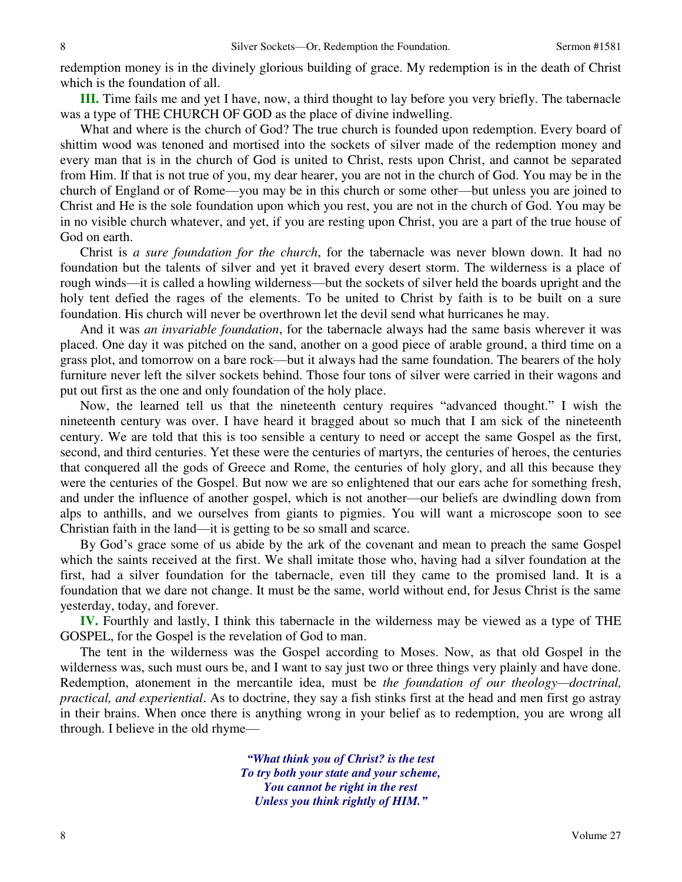redemption money is in the divinely glorious building of grace. My redemption is in the death of Christ which is the foundation of all.

**III.** Time fails me and yet I have, now, a third thought to lay before you very briefly. The tabernacle was a type of THE CHURCH OF GOD as the place of divine indwelling.

 What and where is the church of God? The true church is founded upon redemption. Every board of shittim wood was tenoned and mortised into the sockets of silver made of the redemption money and every man that is in the church of God is united to Christ, rests upon Christ, and cannot be separated from Him. If that is not true of you, my dear hearer, you are not in the church of God. You may be in the church of England or of Rome—you may be in this church or some other—but unless you are joined to Christ and He is the sole foundation upon which you rest, you are not in the church of God. You may be in no visible church whatever, and yet, if you are resting upon Christ, you are a part of the true house of God on earth.

 Christ is *a sure foundation for the church*, for the tabernacle was never blown down. It had no foundation but the talents of silver and yet it braved every desert storm. The wilderness is a place of rough winds—it is called a howling wilderness—but the sockets of silver held the boards upright and the holy tent defied the rages of the elements. To be united to Christ by faith is to be built on a sure foundation. His church will never be overthrown let the devil send what hurricanes he may.

 And it was *an invariable foundation*, for the tabernacle always had the same basis wherever it was placed. One day it was pitched on the sand, another on a good piece of arable ground, a third time on a grass plot, and tomorrow on a bare rock—but it always had the same foundation. The bearers of the holy furniture never left the silver sockets behind. Those four tons of silver were carried in their wagons and put out first as the one and only foundation of the holy place.

 Now, the learned tell us that the nineteenth century requires "advanced thought." I wish the nineteenth century was over. I have heard it bragged about so much that I am sick of the nineteenth century. We are told that this is too sensible a century to need or accept the same Gospel as the first, second, and third centuries. Yet these were the centuries of martyrs, the centuries of heroes, the centuries that conquered all the gods of Greece and Rome, the centuries of holy glory, and all this because they were the centuries of the Gospel. But now we are so enlightened that our ears ache for something fresh, and under the influence of another gospel, which is not another—our beliefs are dwindling down from alps to anthills, and we ourselves from giants to pigmies. You will want a microscope soon to see Christian faith in the land—it is getting to be so small and scarce.

 By God's grace some of us abide by the ark of the covenant and mean to preach the same Gospel which the saints received at the first. We shall imitate those who, having had a silver foundation at the first, had a silver foundation for the tabernacle, even till they came to the promised land. It is a foundation that we dare not change. It must be the same, world without end, for Jesus Christ is the same yesterday, today, and forever.

**IV.** Fourthly and lastly, I think this tabernacle in the wilderness may be viewed as a type of THE GOSPEL, for the Gospel is the revelation of God to man.

 The tent in the wilderness was the Gospel according to Moses. Now, as that old Gospel in the wilderness was, such must ours be, and I want to say just two or three things very plainly and have done. Redemption, atonement in the mercantile idea, must be *the foundation of our theology—doctrinal, practical, and experiential*. As to doctrine, they say a fish stinks first at the head and men first go astray in their brains. When once there is anything wrong in your belief as to redemption, you are wrong all through. I believe in the old rhyme—

> *"What think you of Christ? is the test To try both your state and your scheme, You cannot be right in the rest Unless you think rightly of HIM."*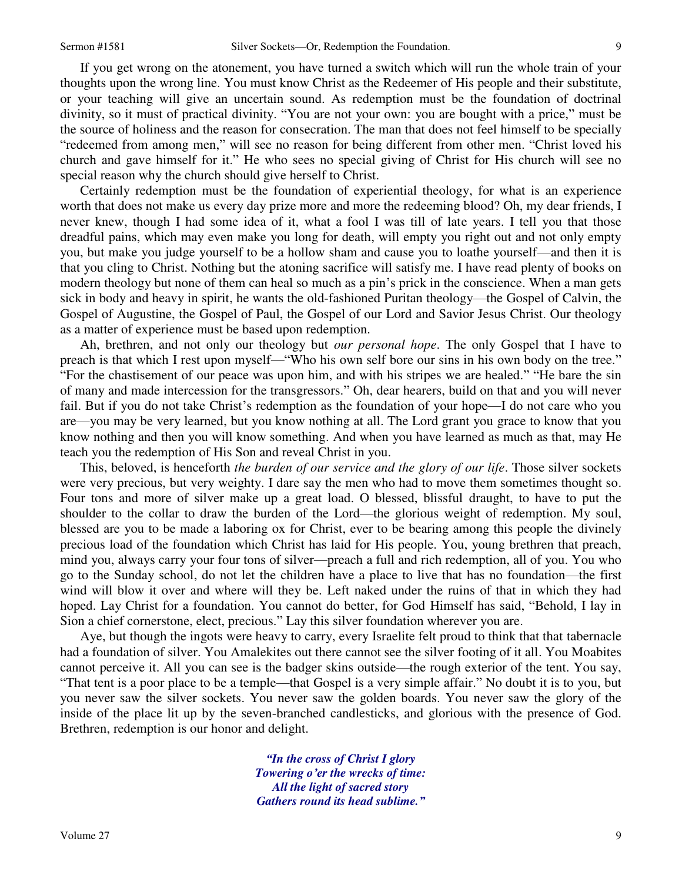If you get wrong on the atonement, you have turned a switch which will run the whole train of your thoughts upon the wrong line. You must know Christ as the Redeemer of His people and their substitute, or your teaching will give an uncertain sound. As redemption must be the foundation of doctrinal divinity, so it must of practical divinity. "You are not your own: you are bought with a price," must be the source of holiness and the reason for consecration. The man that does not feel himself to be specially "redeemed from among men," will see no reason for being different from other men. "Christ loved his church and gave himself for it." He who sees no special giving of Christ for His church will see no special reason why the church should give herself to Christ.

 Certainly redemption must be the foundation of experiential theology, for what is an experience worth that does not make us every day prize more and more the redeeming blood? Oh, my dear friends, I never knew, though I had some idea of it, what a fool I was till of late years. I tell you that those dreadful pains, which may even make you long for death, will empty you right out and not only empty you, but make you judge yourself to be a hollow sham and cause you to loathe yourself—and then it is that you cling to Christ. Nothing but the atoning sacrifice will satisfy me. I have read plenty of books on modern theology but none of them can heal so much as a pin's prick in the conscience. When a man gets sick in body and heavy in spirit, he wants the old-fashioned Puritan theology—the Gospel of Calvin, the Gospel of Augustine, the Gospel of Paul, the Gospel of our Lord and Savior Jesus Christ. Our theology as a matter of experience must be based upon redemption.

 Ah, brethren, and not only our theology but *our personal hope*. The only Gospel that I have to preach is that which I rest upon myself—"Who his own self bore our sins in his own body on the tree." "For the chastisement of our peace was upon him, and with his stripes we are healed." "He bare the sin of many and made intercession for the transgressors." Oh, dear hearers, build on that and you will never fail. But if you do not take Christ's redemption as the foundation of your hope—I do not care who you are—you may be very learned, but you know nothing at all. The Lord grant you grace to know that you know nothing and then you will know something. And when you have learned as much as that, may He teach you the redemption of His Son and reveal Christ in you.

 This, beloved, is henceforth *the burden of our service and the glory of our life*. Those silver sockets were very precious, but very weighty. I dare say the men who had to move them sometimes thought so. Four tons and more of silver make up a great load. O blessed, blissful draught, to have to put the shoulder to the collar to draw the burden of the Lord—the glorious weight of redemption. My soul, blessed are you to be made a laboring ox for Christ, ever to be bearing among this people the divinely precious load of the foundation which Christ has laid for His people. You, young brethren that preach, mind you, always carry your four tons of silver—preach a full and rich redemption, all of you. You who go to the Sunday school, do not let the children have a place to live that has no foundation—the first wind will blow it over and where will they be. Left naked under the ruins of that in which they had hoped. Lay Christ for a foundation. You cannot do better, for God Himself has said, "Behold, I lay in Sion a chief cornerstone, elect, precious." Lay this silver foundation wherever you are.

 Aye, but though the ingots were heavy to carry, every Israelite felt proud to think that that tabernacle had a foundation of silver. You Amalekites out there cannot see the silver footing of it all. You Moabites cannot perceive it. All you can see is the badger skins outside—the rough exterior of the tent. You say, "That tent is a poor place to be a temple—that Gospel is a very simple affair." No doubt it is to you, but you never saw the silver sockets. You never saw the golden boards. You never saw the glory of the inside of the place lit up by the seven-branched candlesticks, and glorious with the presence of God. Brethren, redemption is our honor and delight.

> *"In the cross of Christ I glory Towering o'er the wrecks of time: All the light of sacred story Gathers round its head sublime."*